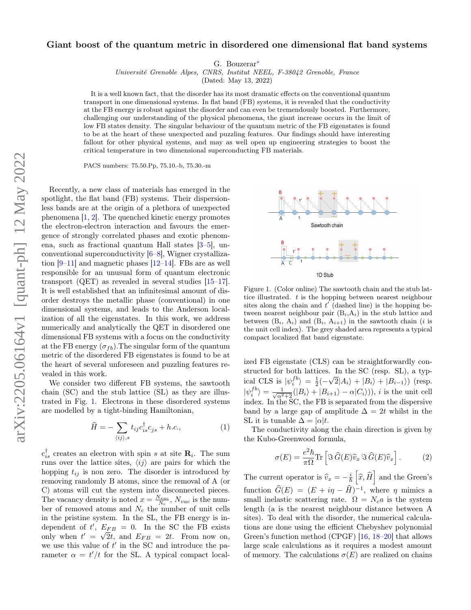# Giant boost of the quantum metric in disordered one dimensional flat band systems

G. Bouzerar[∗](#page-3-0)

Université Grenoble Alpes, CNRS, Institut NEEL, F-38042 Grenoble, France

(Dated: May 13, 2022)

It is a well known fact, that the disorder has its most dramatic effects on the conventional quantum transport in one dimensional systems. In flat band (FB) systems, it is revealed that the conductivity at the FB energy is robust against the disorder and can even be tremendously boosted. Furthermore, challenging our understanding of the physical phenomena, the giant increase occurs in the limit of low FB states density. The singular behaviour of the quantum metric of the FB eigenstates is found to be at the heart of these unexpected and puzzling features. Our findings should have interesting fallout for other physical systems, and may as well open up engineering strategies to boost the critical temperature in two dimensional superconducting FB materials.

PACS numbers: 75.50.Pp, 75.10.-b, 75.30.-m

Recently, a new class of materials has emerged in the spotlight, the flat band (FB) systems. Their dispersionless bands are at the origin of a plethora of unexpected phenomena [\[1,](#page-3-1) [2\]](#page-3-2). The quenched kinetic energy promotes the electron-electron interaction and favours the emergence of strongly correlated phases and exotic phenomena, such as fractional quantum Hall states [\[3–](#page-3-3)[5\]](#page-3-4), unconventional superconductivity [\[6–](#page-3-5)[8\]](#page-3-6), Wigner crystallization  $[9-11]$  $[9-11]$  and magnetic phases  $[12-14]$  $[12-14]$ . FBs are as well responsible for an unusual form of quantum electronic transport (QET) as revealed in several studies [\[15–](#page-3-11)[17\]](#page-3-12). It is well established that an infinitesimal amount of disorder destroys the metallic phase (conventional) in one dimensional systems, and leads to the Anderson localization of all the eigenstates. In this work, we address numerically and analytically the QET in disordered one dimensional FB systems with a focus on the conductivity at the FB energy  $(\sigma_{fb})$ . The singular form of the quantum metric of the disordered FB eigenstates is found to be at the heart of several unforeseen and puzzling features revealed in this work.

We consider two different FB systems, the sawtooth chain (SC) and the stub lattice (SL) as they are illustrated in Fig. [1.](#page-0-0) Electrons in these disordered systems are modelled by a tight-binding Hamiltonian,

<span id="page-0-1"></span>
$$
\widehat{H} = -\sum_{\langle ij \rangle, s} t_{ij} c_{is}^{\dagger} c_{js} + h.c., \tag{1}
$$

 $c_{is}^{\dagger}$  creates an electron with spin s at site  $\mathbf{R}_{i}$ . The sum runs over the lattice sites,  $\langle ij \rangle$  are pairs for which the hopping  $t_{ij}$  is non zero. The disorder is introduced by removing randomly B atoms, since the removal of A (or C) atoms will cut the system into disconnected pieces. The vacancy density is noted  $x = \frac{N_{vac}}{N_c}$ ,  $N_{vac}$  is the number of removed atoms and  $N_c$  the number of unit cells in the pristine system. In the SL, the FB energy is independent of  $t'$ ,  $E_{FB} = 0$ . In the SC the FB exists only when  $t' = \sqrt{2}t$ , and  $E_{FB} = 2t$ . From now on, we use this value of  $t'$  in the SC and introduce the parameter  $\alpha = t'/t$  for the SL. A typical compact local-



<span id="page-0-0"></span>Figure 1. (Color online) The sawtooth chain and the stub lattice illustrated.  $t$  is the hopping between nearest neighbour sites along the chain and  $t'$  (dashed line) is the hopping between nearest neighbour pair  $(B_i, A_i)$  in the stub lattice and between  $(B_i, A_i)$  and  $(B_i, A_{i+1})$  in the sawtooth chain (*i* is the unit cell index). The grey shaded area represents a typical compact localized flat band eigenstate.

ized FB eigenstate (CLS) can be straightforwardly constructed for both lattices. In the SC (resp. SL), a typical CLS is  $|\psi_i^{fb}\rangle = \frac{1}{2}(-$ √  $|2|A_i\rangle + |B_i\rangle + |B_{i-1}\rangle)$  (resp.  $|\psi_i^{fb}\rangle = \frac{1}{\sqrt{\alpha^2+2}}(|B_i\rangle + |B_{i+1}\rangle - \alpha|C_i\rangle)), i$  is the unit cell index. In the SC, the FB is separated from the dispersive band by a large gap of amplitude  $\Delta = 2t$  whilst in the SL it is tunable  $\Delta = |\alpha|t$ .

The conductivity along the chain direction is given by the Kubo-Greenwood formula,

$$
\sigma(E) = \frac{e^2 \hbar}{\pi \Omega} \text{Tr} \left[ \Im \widehat{G}(E) \widehat{v}_x \Im \widehat{G}(E) \widehat{v}_x \right]. \tag{2}
$$

The current operator is  $\widehat{v}_x = -\frac{i}{\hbar} \left[ \widehat{x}, \widehat{H} \right]$  and the Green's function  $\widehat{G}(E) = (E + i\eta - \widehat{H})^{-1}$ , where  $\eta$  mimics a small inelastic scattering rate.  $\Omega = N_c a$  is the system length (a is the nearest neighbour distance between A sites). To deal with the disorder, the numerical calculations are done using the efficient Chebyshev polynomial Green's function method (CPGF) [\[16,](#page-3-13) [18–](#page-3-14)[20\]](#page-3-15) that allows large scale calculations as it requires a modest amount of memory. The calculations  $\sigma(E)$  are realized on chains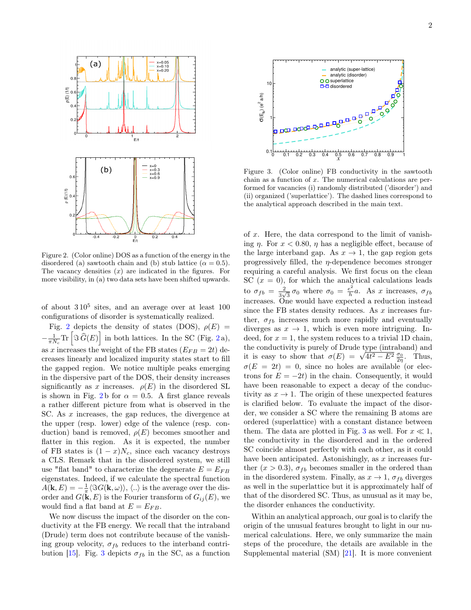

<span id="page-1-0"></span>Figure 2. (Color online) DOS as a function of the energy in the disordered (a) sawtooth chain and (b) stub lattice ( $\alpha = 0.5$ ). The vacancy densities  $(x)$  are indicated in the figures. For more visibility, in (a) two data sets have been shifted upwards.

of about  $310^5$  sites, and an average over at least 100 configurations of disorder is systematically realized.

Fig. [2](#page-1-0) depicts the density of states (DOS),  $\rho(E)$  =  $-\frac{1}{\pi N_c} \text{Tr} \left[ \Im \widehat{G}(E) \right]$  in both lattices. In the SC (Fig. [2](#page-1-0)a), as x increases the weight of the FB states  $(E_{FB} = 2t)$  decreases linearly and localized impurity states start to fill the gapped region. We notice multiple peaks emerging in the dispersive part of the DOS, their density increases significantly as x increases.  $\rho(E)$  in the disordered SL is shown in Fig. [2](#page-1-0)b for  $\alpha = 0.5$ . A first glance reveals a rather different picture from what is observed in the SC. As x increases, the gap reduces, the divergence at the upper (resp. lower) edge of the valence (resp. conduction) band is removed,  $\rho(E)$  becomes smoother and flatter in this region. As it is expected, the number of FB states is  $(1-x)N_c$ , since each vacancy destroys a CLS. Remark that in the disordered system, we still use "flat band" to characterize the degenerate  $E = E_{FB}$ eigenstates. Indeed, if we calculate the spectral function  $A(\mathbf{k}, E) = -\frac{1}{\pi} \langle \Im G(\mathbf{k}, \omega) \rangle$ ,  $\langle .. \rangle$  is the average over the disorder and  $G(\mathbf{k}, E)$  is the Fourier transform of  $G_{ii}(E)$ , we would find a flat band at  $E = E_{FB}$ .

We now discuss the impact of the disorder on the conductivity at the FB energy. We recall that the intraband (Drude) term does not contribute because of the vanishing group velocity,  $\sigma_{fb}$  reduces to the interband contri-



<span id="page-1-1"></span>Figure 3. (Color online) FB conductivity in the sawtooth chain as a function of x. The numerical calculations are performed for vacancies (i) randomly distributed ('disorder') and (ii) organized ('superlattice'). The dashed lines correspond to the analytical approach described in the main text.

**15).** Fig. 2. (a)  $\frac{1}{2}$  (b)  $\frac{1}{2}$  different in the SC as a function of *x*. He main of *x* is a function of *x* is a function of *x* is a function of *x* is a function of *x* is a function of *x* is a function o of x. Here, the data correspond to the limit of vanishing  $\eta$ . For  $x < 0.80$ ,  $\eta$  has a negligible effect, because of the large interband gap. As  $x \to 1$ , the gap region gets progressively filled, the  $\eta$ -dependence becomes stronger requiring a careful analysis. We first focus on the clean SC  $(x = 0)$ , for which the analytical calculations leads to  $\sigma_{fb} = \frac{2}{3}$  $\frac{2}{3\sqrt{3}}\,\sigma_0$  where  $\sigma_0 = \frac{e^2}{h}$  $\frac{e^2}{h}a$ . As x increases,  $\sigma_{fb}$ increases. One would have expected a reduction instead since the FB states density reduces. As  $x$  increases further,  $\sigma_{fb}$  increases much more rapidly and eventually diverges as  $x \to 1$ , which is even more intriguing. Indeed, for  $x = 1$ , the system reduces to a trivial 1D chain, the conductivity is purely of Drude type (intraband) and the conductivity is purely of Drude type (intraband) and<br>it is easy to show that  $\sigma(E) = \sqrt{4t^2 - E^2} \frac{\sigma_0}{2\eta}$ . Thus,  $\sigma(E = 2t) = 0$ , since no holes are available (or electrons for  $E = -2t$ ) in the chain. Consequently, it would have been reasonable to expect a decay of the conductivity as  $x \to 1$ . The origin of these unexpected features is clarified below. To evaluate the impact of the disorder, we consider a SC where the remaining B atoms are ordered (superlattice) with a constant distance between them. The data are plotted in Fig. [3](#page-1-1) as well. For  $x \ll 1$ , the conductivity in the disordered and in the ordered SC coincide almost perfectly with each other, as it could have been anticipated. Astonishingly, as  $x$  increases further  $(x > 0.3)$ ,  $\sigma_{fb}$  becomes smaller in the ordered than in the disordered system. Finally, as  $x \to 1$ ,  $\sigma_{fb}$  diverges as well in the superlattice but it is approximately half of that of the disordered SC. Thus, as unusual as it may be, the disorder enhances the conductivity.

Within an analytical approach, our goal is to clarify the origin of the unusual features brought to light in our numerical calculations. Here, we only summarize the main steps of the procedure, the details are available in the Supplemental material (SM) [\[21\]](#page-4-0). It is more convenient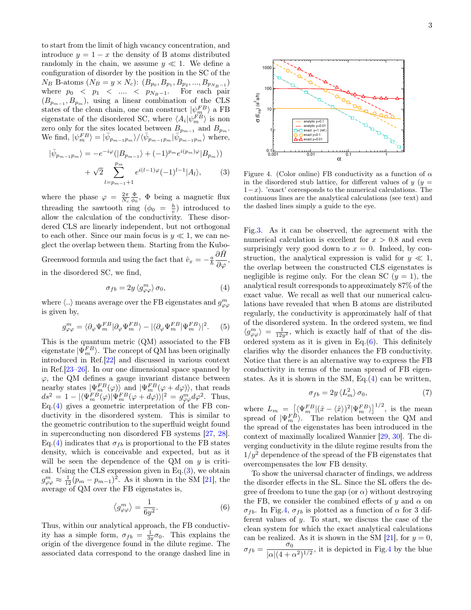to start from the limit of high vacancy concentration, and introduce  $y = 1 - x$  the density of B atoms distributed randomly in the chain, we assume  $y \ll 1$ . We define a configuration of disorder by the position in the SC of the  $N_B$  B-atoms  $(N_B = y \times N_c)$ :  $(B_{p_0}, B_{p_1}, B_{p_2}, ..., B_{p_{N_B-1}})$ where  $p_0$  <  $p_1$  < .... <  $p_{N_B-1}$ . For each pair  $(B_{p_{m-1}}, B_{p_m})$ , using a linear combination of the CLS states of the clean chain, one can construct  $|\psi_m^{FB}\rangle$  a FB eigenstate of the disordered SC, where  $\langle A_i | \psi_m^{FB} \rangle$  is non zero only for the sites located between  $B_{p_{m-1}}$  and  $B_{p_m}$ . We find,  $|\psi_m^{FB}\rangle = |\bar{\psi}_{p_{m-1}p_m}\rangle / \langle \bar{\psi}_{p_{m-1}p_m}|\bar{\psi}_{p_{m-1}p_m}^{m_{m-1}}\rangle$  where,

<span id="page-2-1"></span>
$$
|\bar{\psi}_{p_{m-1}p_m}\rangle = -e^{-i\varphi}(|B_{p_{m-1}}\rangle + (-1)^{p_m}e^{i(p_m)\varphi}|B_{p_m}\rangle) + \sqrt{2}\sum_{l=p_{m-1}+1}^{p_m}e^{i(l-1)\varphi}(-1)^{l-1}|A_l\rangle,
$$
(3)

where the phase  $\varphi = \frac{2\pi}{N_c} \frac{\Phi}{\phi_0}$ ,  $\Phi$  being a magnetic flux threading the sawtooth ring  $(\phi_0 = \frac{h}{e})$  introduced to allow the calculation of the conductivity. These disordered CLS are linearly independent, but not orthogonal to each other. Since our main focus is  $y \ll 1$ , we can neglect the overlap between them. Starting from the Kubo-Greenwood formula and using the fact that  $\hat{v}_x = -\frac{a}{\hbar} \frac{\partial \hat{H}}{\partial x}$  $\frac{\partial \, \textbf{m}}{\partial \varphi},$ 

in the disordered SC, we find,

<span id="page-2-0"></span>
$$
\sigma_{fb} = 2y \langle g^m_{\varphi\varphi} \rangle \sigma_0,\tag{4}
$$

where  $\langle .. \rangle$  means average over the FB eigenstates and  $g_{\varphi\varphi}^m$ is given by,

$$
g_{\varphi\varphi}^{m} = \langle \partial_{\varphi} \Psi_{m}^{FB} | \partial_{\varphi} \Psi_{m}^{FB} \rangle - | \langle \partial_{\varphi} \Psi_{m}^{FB} | \Psi_{m}^{FB} \rangle |^{2}.
$$
 (5)

This is the quantum metric (QM) associated to the FB eigenstate  $|\Psi_m^{FB}\rangle$ . The concept of QM has been originally introduced in Ref.[\[22\]](#page-4-1) and discussed in various context in Ref.[\[23–](#page-4-2)[26\]](#page-4-3). In our one dimensional space spanned by  $\varphi$ , the QM defines a gauge invariant distance between nearby states  $|\Psi_m^{FB}(\varphi)\rangle$  and  $|\Psi_m^{FB}(\varphi+d\varphi)\rangle$ , that reads  $ds^2 = 1 - |\langle \Psi_m^{FB}(\varphi) | \Psi_m^{FB}(\varphi + d\varphi) \rangle|^2 = g_{\varphi\varphi}^m d\varphi^2$ . Thus, Eq.[\(4\)](#page-2-0) gives a geometric interpretation of the FB conductivity in the disordered system. This is similar to the geometric contribution to the superfluid weight found in superconducting non disordered FB systems [\[27,](#page-4-4) [28\]](#page-4-5). Eq.[\(4\)](#page-2-0) indicates that  $\sigma_{fb}$  is proportional to the FB states density, which is conceivable and expected, but as it will be seen the dependence of the QM on  $y$  is critical. Using the CLS expression given in Eq.[\(3\)](#page-2-1), we obtain  $g_{\varphi\varphi}^m \approx \frac{1}{12}(p_m - p_{m-1})^2$ . As it shown in the SM [\[21\]](#page-4-0), the average of QM over the FB eigenstates is, (Eq. 19.2)  $\Rightarrow \frac{1}{2} \Rightarrow \frac{1}{2} \times \frac{1}{2} \times \frac{1}{2} \times \frac{1}{2} \times \frac{1}{2} \times \frac{1}{2} \times \frac{1}{2} \times \frac{1}{2} \times \frac{1}{2} \times \frac{1}{2} \times \frac{1}{2} \times \frac{1}{2} \times \frac{1}{2} \times \frac{1}{2} \times \frac{1}{2} \times \frac{1}{2} \times \frac{1}{2} \times \frac{1}{2} \times \frac{1}{2} \times \frac{1}{2} \times \frac{1}{2} \times \frac{1}{2} \times$ 

<span id="page-2-2"></span>
$$
\left\langle g_{\varphi\varphi}^m \right\rangle = \frac{1}{6y^2}.\tag{6}
$$

Thus, within our analytical approach, the FB conductivity has a simple form,  $\sigma_{fb} = \frac{1}{3y}\sigma_0$ . This explains the origin of the divergence found in the dilute regime. The



<span id="page-2-3"></span>Figure 4. (Color online) FB conductivity as a function of  $\alpha$ in the disordered stub lattice, for different values of  $y$  ( $y =$  $1-x$ ). 'exact' corresponds to the numerical calculations. The continuous lines are the analytical calculations (see text) and the dashed lines simply a guide to the eye.

Fig[.3.](#page-1-1) As it can be observed, the agreement with the numerical calculation is excellent for  $x > 0.8$  and even surprisingly very good down to  $x = 0$ . Indeed, by construction, the analytical expression is valid for  $y \ll 1$ , the overlap between the constructed CLS eigenstates is negligible is regime only. For the clean SC  $(y = 1)$ , the analytical result corresponds to approximately 87% of the exact value. We recall as well that our numerical calculations have revealed that when B atoms are distributed regularly, the conductivity is approximately half of that of the disordered system. In the ordered system, we find  $\langle g_{\varphi\varphi}^m \rangle = \frac{1}{12y^2}$ , which is exactly half of that of the disordered system as it is given in Eq. $(6)$ . This definitely clarifies why the disorder enhances the FB conductivity. Notice that there is an alternative way to express the FB conductivity in terms of the mean spread of FB eigenstates. As it is shown in the SM, Eq. $(4)$  can be written,

$$
\sigma_{fb} = 2y \langle L_m^2 \rangle \,\sigma_0,\tag{7}
$$

where  $L_m = \left[ \langle \Psi_m^{FB} | (\hat{x} - \langle \hat{x} \rangle)^2 | \Psi_m^{FB} \rangle \right]^{1/2}$ , is the mean spread of  $|\Psi_m^{F\dot{B}}\rangle$ . The relation between the QM and the spread of the eigenstates has been introduced in the context of maximally localized Wannier [\[29,](#page-4-6) [30\]](#page-4-7). The diverging conductivity in the dilute regime results from the  $1/y^2$  dependence of the spread of the FB eigenstates that overcompensates the low FB density.

To show the universal character of findings, we address the disorder effects in the SL. Since the SL offers the degree of freedom to tune the gap (or  $\alpha$ ) without destroying the FB, we consider the combined effects of y and  $\alpha$  on σ<sub>fb</sub>. In Fig[.4,](#page-2-3) σ<sub>fb</sub> is plotted as a function of  $\alpha$  for 3 different values of  $y$ . To start, we discuss the case of the clean system for which the exact analytical calculations can be realized. As it is shown in the SM  $[21]$ , for  $y = 0$ ,  $\sigma_{fb} = \frac{\sigma_0}{\frac{1 - 1}{4}}$  $\frac{\sigma_0}{|\alpha|(4+\alpha^2)^{1/2}}$ , it is depicted in Fig[.4](#page-2-3) by the blue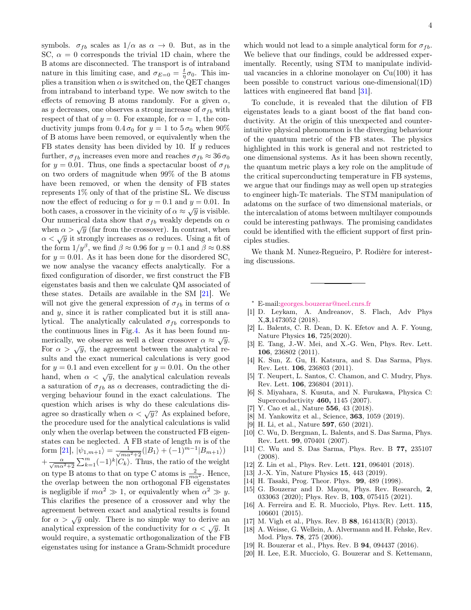symbols.  $\sigma_{fb}$  scales as  $1/\alpha$  as  $\alpha \to 0$ . But, as in the SC,  $\alpha = 0$  corresponds the trivial 1D chain, where the B atoms are disconnected. The transport is of intraband nature in this limiting case, and  $\sigma_{E=0} = \frac{t}{\eta} \sigma_0$ . This implies a transition when  $\alpha$  is switched on, the QET changes from intraband to interband type. We now switch to the effects of removing B atoms randomly. For a given  $\alpha$ , as y decreases, one observes a strong increase of  $\sigma_{fb}$  with respect of that of  $y = 0$ . For example, for  $\alpha = 1$ , the conductivity jumps from  $0.4 \sigma_0$  for  $y = 1$  to  $5 \sigma_0$  when  $90\%$ of B atoms have been removed, or equivalently when the FB states density has been divided by 10. If y reduces further,  $\sigma_{fb}$  increases even more and reaches  $\sigma_{fb} \approx 36 \sigma_0$ for  $y = 0.01$ . Thus, one finds a spectacular boost of  $\sigma_{fb}$ on two orders of magnitude when 99% of the B atoms have been removed, or when the density of FB states represents 1% only of that of the pristine SL. We discuss now the effect of reducing  $\alpha$  for  $y = 0.1$  and  $y = 0.01$ . In both cases, a crossover in the vicinity of  $\alpha \approx \sqrt{y}$  is visible. Our numerical data show that  $\sigma_{fb}$  weakly depends on  $\alpha$ when  $\alpha > \sqrt{y}$  (far from the crossover). In contrast, when  $\alpha < \sqrt{y}$  it strongly increases as  $\alpha$  reduces. Using a fit of the form  $1/y^{\beta}$ , we find  $\beta \approx 0.96$  for  $y = 0.1$  and  $\beta \approx 0.88$ for  $y = 0.01$ . As it has been done for the disordered SC, we now analyse the vacancy effects analytically. For a fixed configuration of disorder, we first construct the FB eigenstates basis and then we calculate QM associated of these states. Details are available in the SM [\[21\]](#page-4-0). We will not give the general expression of  $\sigma_{fb}$  in terms of  $\alpha$ and y, since it is rather complicated but it is still analytical. The analytically calculated  $\sigma_{fb}$  corresponds to the continuous lines in Fig[.4.](#page-2-3) As it has been found numerically, we observe as well a clear crossover  $\alpha \approx \sqrt{y}$ . For  $\alpha > \sqrt{y}$ , the agreement between the analytical results and the exact numerical calculations is very good for  $y = 0.1$  and even excellent for  $y = 0.01$ . On the other hand, when  $\alpha < \sqrt{y}$ , the analytical calculation reveals a saturation of  $\sigma_{fb}$  as  $\alpha$  decreases, contradicting the diverging behaviour found in the exact calculations. The question which arises is why do these calculations disagree so drastically when  $\alpha < \sqrt{y}$ ? As explained before, the procedure used for the analytical calculations is valid only when the overlap between the constructed FB eigenstates can be neglected. A FB state of length  $m$  is of the form [\[21\]](#page-4-0),  $|\psi_{1,m+1}\rangle = \frac{1}{\sqrt{m\alpha^2+2}}(|B_1\rangle + (-1)^{m-1}|B_{m+1}\rangle)$  $+\frac{\alpha}{\sqrt{m\alpha^2+2}}\sum_{k=1}^m(-1)^k|C_k\rangle$ . Thus, the ratio of the weight on type B atoms to that on type C atoms is  $\frac{2}{m\alpha^2}$ . Hence, the overlap between the non orthogonal FB eigenstates is negligible if  $m\alpha^2 \gg 1$ , or equivalently when  $\alpha^2 \gg y$ . This clarifies the presence of a crossover and why the agreement between exact and analytical results is found for  $\alpha > \sqrt{y}$  only. There is no simple way to derive an analytical expression of the conductivity for  $\alpha < \sqrt{y}$ . It would require, a systematic orthogonalization of the FB eigenstates using for instance a Gram-Schmidt procedure

which would not lead to a simple analytical form for  $\sigma_{fb}$ . We believe that our findings, could be addressed experimentally. Recently, using STM to manipulate individual vacancies in a chlorine monolayer on  $Cu(100)$  it has been possible to construct various one-dimensional(1D) lattices with engineered flat band [\[31\]](#page-4-8).

To conclude, it is revealed that the dilution of FB eigenstates leads to a giant boost of the flat band conductivity. At the origin of this unexpected and counterintuitive physical phenomenon is the diverging behaviour of the quantum metric of the FB states. The physics highlighted in this work is general and not restricted to one dimensional systems. As it has been shown recently, the quantum metric plays a key role on the amplitude of the critical superconducting temperature in FB systems, we argue that our findings may as well open up strategies to engineer high-Tc materials. The STM manipulation of adatoms on the surface of two dimensional materials, or the intercalation of atoms between multilayer compounds could be interesting pathways. The promising candidates could be identified with the efficient support of first principles studies.

We thank M. Nunez-Regueiro, P. Rodière for interesting discussions.

- <span id="page-3-0"></span><sup>∗</sup> E-mail[:georges.bouzerar@neel.cnrs.fr](mailto:georges.bouzerar@neel.cnrs.fr)
- <span id="page-3-1"></span>[1] D. Leykam, A. Andreanov, S. Flach, Adv Phys X,3,1473052 (2018).
- <span id="page-3-2"></span>[2] L. Balents, C. R. Dean, D. K. Efetov and A. F. Young, Nature Physics 16, 725(2020).
- <span id="page-3-3"></span>[3] E. Tang, J.-W. Mei, and X.-G. Wen, Phys. Rev. Lett. 106, 236802 (2011).
- [4] K. Sun, Z. Gu, H. Katsura, and S. Das Sarma, Phys. Rev. Lett. 106, 236803 (2011).
- <span id="page-3-4"></span>[5] T. Neupert, L. Santos, C. Chamon, and C. Mudry, Phys. Rev. Lett. 106, 236804 (2011).
- <span id="page-3-5"></span>[6] S. Miyahara, S. Kusuta, and N. Furukawa, Physica C: Superconductivity 460, 1145 (2007).
- [7] Y. Cao et al., Nature **556**, 43 (2018).
- <span id="page-3-6"></span>[8] M. Yankowitz et al., Science, 363, 1059 (2019).
- <span id="page-3-7"></span>[9] H. Li, et al., Nature 597, 650 (2021).
- [10] C. Wu, D. Bergman, L. Balents, and S. Das Sarma, Phys. Rev. Lett. 99, 070401 (2007).
- <span id="page-3-8"></span>[11] C. Wu and S. Das Sarma, Phys. Rev. B 77, 235107 (2008).
- <span id="page-3-9"></span>[12] Z. Lin et al., Phys. Rev. Lett. **121**, 096401 (2018).
- [13] J.-X. Yin, Nature Physics 15, 443 (2019).
- <span id="page-3-10"></span>[14] H. Tasaki, Prog. Theor. Phys. 99, 489 (1998).
- <span id="page-3-11"></span>[15] G. Bouzerar and D. Mayou, Phys. Rev. Research, 2, 033063 (2020); Phys. Rev. B, 103, 075415 (2021).
- <span id="page-3-13"></span>[16] A. Ferreira and E. R. Mucciolo, Phys. Rev. Lett. 115, 106601 (2015).
- <span id="page-3-12"></span>[17] M. Vigh et al., Phys. Rev. B 88, 161413(R) (2013).
- <span id="page-3-14"></span>[18] A. Weisse, G. Wellein, A. Alvermann and H. Fehske, Rev. Mod. Phys. 78, 275 (2006).
- [19] R. Bouzerar et al., Phys. Rev. B **94**, 094437 (2016).
- <span id="page-3-15"></span>[20] H. Lee, E.R. Mucciolo, G. Bouzerar and S. Kettemann,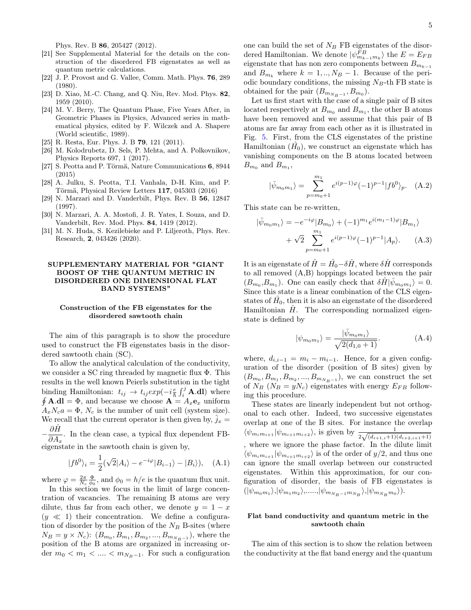Phys. Rev. B 86, 205427 (2012).

- <span id="page-4-0"></span>[21] See Supplemental Material for the details on the construction of the disordered FB eigenstates as well as quantum metric calculations.
- <span id="page-4-1"></span>[22] J. P. Provost and G. Vallee, Comm. Math. Phys. 76, 289 (1980).
- <span id="page-4-2"></span>[23] D. Xiao, M.-C. Chang, and Q. Niu, Rev. Mod. Phys. 82, 1959 (2010).
- [24] M. V. Berry, The Quantum Phase, Five Years After, in Geometric Phases in Physics, Advanced series in mathematical physics, edited by F. Wilczek and A. Shapere (World scientific, 1989).
- [25] R. Resta, Eur. Phys. J. B **79**, 121 (2011).
- <span id="page-4-3"></span>[26] M. Kolodrubetz, D. Sels, P. Mehta, and A. Polkovnikov, Physics Reports 697, 1 (2017).
- <span id="page-4-4"></span>[27] S. Peotta and P. Törmä, Nature Communications 6, 8944 (2015)
- <span id="page-4-5"></span>[28] A. Julku, S. Peotta, T.I. Vanhala, D-H. Kim, and P. Törmä, Physical Review Letters 117, 045303 (2016)
- <span id="page-4-6"></span>[29] N. Marzari and D. Vanderbilt, Phys. Rev. B 56, 12847 (1997).
- <span id="page-4-7"></span>[30] N. Marzari, A. A. Mostofi, J. R. Yates, I. Souza, and D. Vanderbilt, Rev. Mod. Phys. 84, 1419 (2012).
- <span id="page-4-8"></span>[31] M. N. Huda, S. Kezilebieke and P. Liljeroth, Phys. Rev. Research, 2, 043426 (2020).

## SUPPLEMENTARY MATERIAL FOR "GIANT BOOST OF THE QUANTUM METRIC IN DISORDERED ONE DIMENSIONAL FLAT BAND SYSTEMS"

#### Construction of the FB eigenstates for the disordered sawtooth chain

The aim of this paragraph is to show the procedure used to construct the FB eigenstates basis in the disordered sawtooth chain (SC).

To allow the analytical calculation of the conductivity, we consider a SC ring threaded by magnetic flux Φ. This results in the well known Peierls substitution in the tight binding Hamiltonian:  $t_{ij} \rightarrow t_{ij} exp(-i\frac{e}{\hbar} \int_i^j \mathbf{A} \cdot \mathbf{dl})$  where  $\oint \mathbf{A} \cdot \mathbf{dl} = \Phi$ , and because we choose  $\mathbf{A} = A_x \mathbf{e}_x$  uniform  $A_xN_ca = \Phi$ ,  $N_c$  is the number of unit cell (system size). We recall that the current operator is then given by,  $j_x =$  $-\frac{\partial \hat{H}}{\partial A}$ 

 $\frac{\partial H}{\partial A_x}$ . In the clean case, a typical flux dependent FBeigenstate in the sawtooth chain is given by,

$$
|fb^{0}\rangle_{i} = \frac{1}{2}(\sqrt{2}|A_{i}\rangle - e^{-i\varphi}|B_{i-1}\rangle - |B_{i}\rangle), \quad (A.1)
$$

where  $\varphi = \frac{2\pi}{N_c} \frac{\Phi}{\phi_0}$ , and  $\phi_0 = h/e$  is the quantum flux unit.

In this section we focus in the limit of large concentration of vacancies. The remaining B atoms are very dilute, thus far from each other, we denote  $y = 1 - x$  $(y \ll 1)$  their concentration. We define a configuration of disorder by the position of the  $N_B$  B-sites (where  $N_B = y \times N_c$ :  $(B_{m_0}, B_{m_1}, B_{m_2}, ..., B_{m_{N_B-1}})$ , where the position of the B atoms are organized in increasing order  $m_0 < m_1 < ... < m_{N_B-1}$ . For such a configuration

one can build the set of  $N_B$  FB eigenstates of the disordered Hamiltonian. We denote  $|\psi_{m_{k-1}m_k}^{FB}\rangle$  the  $E=E_{FB}$ eigenstate that has non zero components between  $B_{m_{k-1}}$ and  $B_{m_k}$  where  $k = 1, ..., N_B - 1$ . Because of the periodic boundary conditions, the missing  $N_B$ -th FB state is obtained for the pair  $(B_{m_{N_B-1}}, B_{m_0}).$ 

Let us first start with the case of a single pair of B sites located respectively at  $B_{m_0}$  and  $B_{m_1}$ , the other B atoms have been removed and we assume that this pair of B atoms are far away from each other as it is illustrated in Fig. [5.](#page-5-0) First, from the CLS eigenstates of the pristine Hamiltonian  $(\hat{H_0})$ , we construct an eigenstate which has vanishing components on the B atoms located between  $B_{m_0}$  and  $B_{m_1}$ ,

$$
|\bar{\psi}_{m_0m_1}\rangle = \sum_{p=m_0+1}^{m_1} e^{i(p-1)\varphi} (-1)^{p-1} |fb^0\rangle_p. \quad (A.2)
$$

This state can be re-written,

$$
|\bar{\psi}_{m_0m_1}\rangle = -e^{-i\varphi}|B_{m_0}\rangle + (-1)^{m_1}e^{i(m_1-1)\varphi}|B_{m_1}\rangle + \sqrt{2}\sum_{p=m_0+1}^{m_1}e^{i(p-1)\varphi}(-1)^{p-1}|A_p\rangle.
$$
 (A.3)

It is an eigenstate of  $\hat{H} = \hat{H_0} - \delta \hat{H}$  , where  $\delta \hat{H}$  corresponds to all removed (A,B) hoppings located between the pair  $(B_{m_0}, B_{m_1})$ . One can easily check that  $\delta \hat{H} |\bar{\psi}_{m_0 m_1}\rangle = 0$ . Since this state is a linear combination of the CLS eigenstates of  $\hat{H_0}$ , then it is also an eigenstate of the disordered Hamiltonian  $\hat{H}$ . The corresponding normalized eigenstate is defined by

$$
|\psi_{m_0m_1}\rangle = \frac{|\bar{\psi}_{m_0m_1}\rangle}{\sqrt{2(d_{1,0}+1)}}.
$$
 (A.4)

where,  $d_{i,i-1} = m_i - m_{i-1}$ . Hence, for a given configuration of the disorder (position of B sites) given by  $(B_{m_0}, B_{m_1}, B_{m_2},..., B_{m_{N_B-1}})$ , we can construct the set of  $N_B$  ( $N_B = yN_c$ ) eigenstates with energy  $E_{FB}$  following this procedure.

These states are linearly independent but not orthogonal to each other. Indeed, two successive eigenstates overlap at one of the B sites. For instance the overlap  $\langle \psi_{m_i m_{i+1}} | \psi_{m_{i+1} m_{i+2}} \rangle$ , is given by  $\frac{1}{2\sqrt{(d_{i+1,i}+1)(d_{i+2,i+1}+1)}}$ , where we ignore the phase factor. In the dilute limit  $\langle \psi_{m_i m_{i+1}} | \psi_{m_{i+1} m_{i+2}} \rangle$  is of the order of  $y/2$ , and thus one can ignore the small overlap between our constructed eigenstates. Within this approximation, for our configuration of disorder, the basis of FB eigenstates is  $(|\psi_{m_0m_1}\rangle, |\psi_{m_1m_2}\rangle, \dots, |\psi_{m_{N_B-1}m_{N_B}}\rangle, |\psi_{m_{N_B}m_0}\rangle).$ 

#### Flat band conductivity and quantum metric in the sawtooth chain

The aim of this section is to show the relation between the conductivity at the flat band energy and the quantum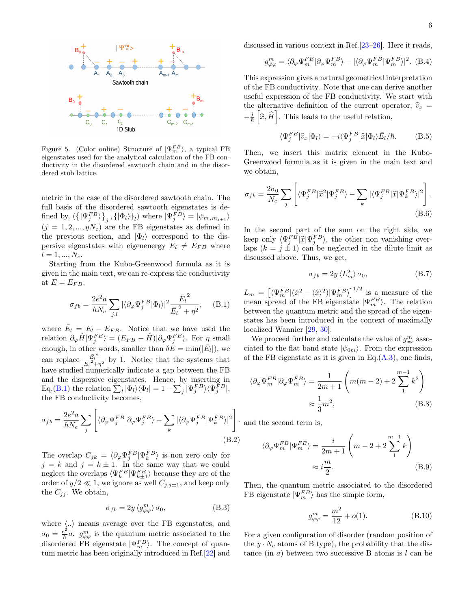

<span id="page-5-0"></span>Figure 5. (Color online) Structure of  $|\Psi_m^{FB}\rangle$ , a typical FB eigenstates used for the analytical calculation of the FB conductivity in the disordered sawtooth chain and in the disordered stub lattice.

metric in the case of the disordered sawtooth chain. The full basis of the disordered sawtooth eigenstates is defined by,  $(\{\ket{\Psi_j^{FB}}\}_{j},\{\ket{\Phi_l}\}_{l})$  where  $\ket{\Psi_j^{FB}}=\ket{\psi_{m_jm_{j+1}}}$  $(j = 1, 2, ..., yN_c)$  are the FB eigenstates as defined in the previous section, and  $|\Phi_l\rangle$  correspond to the dispersive eigenstates with eigenenergy  $E_l \neq E_{FB}$  where  $l = 1, ..., N_c$ .

Starting from the Kubo-Greenwood formula as it is given in the main text, we can re-express the conductivity at  $E = E_{FB}$ ,

$$
\sigma_{fb} = \frac{2e^2a}{hN_c} \sum_{j,l} |\langle \partial_{\varphi} \Psi_j^{FB} | \Phi_l \rangle|^2 \frac{\bar{E_l}^2}{\bar{E_l}^2 + \eta^2}, \quad \text{(B.1)}
$$

where  $\bar{E}_l = E_l - E_{FB}$ . Notice that we have used the relation  $\partial_{\varphi}\hat{H}|\Psi_j^{FB}\rangle = (E_{FB} - \hat{H})|\partial_{\varphi}\Psi_j^{FB}\rangle$ . For  $\eta$  small enough, in other words, smaller than  $\delta E = \min(|\bar{E}_l|)$ , we can replace  $\frac{\bar{E}_l^2}{\bar{E}_l^2}$  $\frac{E_l^2}{\bar{E}_l^2 + \eta^2}$  by 1. Notice that the systems that have studied numerically indicate a gap between the FB and the dispersive eigenstates. Hence, by inserting in Eq.[\(B.1\)](#page-0-1) the relation  $\sum_{l} |\Phi_{l}\rangle\langle\Phi_{l}| = 1 - \sum_{j} |\Psi_{j}^{FB}\rangle\langle\Psi_{j}^{FB}|,$ the FB conductivity becomes,

$$
\sigma_{fb} = \frac{2e^2 a}{hN_c} \sum_j \left[ \langle \partial_{\varphi} \Psi_j^{FB} | \partial_{\varphi} \Psi_j^{FB} \rangle - \sum_k |\langle \partial_{\varphi} \Psi_j^{FB} | \Psi_k^{FB} \rangle|^2 \right].
$$
\n(B.2)

The overlap  $C_{jk} = \langle \partial_{\varphi} \Psi_j^{FB} | \Psi_k^{FB} \rangle$  is non zero only for  $j = k$  and  $j = k \pm 1$ . In the same way that we could neglect the overlaps  $\langle \Psi_k^{FB} | \Psi_{k\pm 1}^{FB} \rangle$  because they are of the order of  $y/2 \ll 1$ , we ignore as well  $C_{i,j\pm 1}$ , and keep only the  $C_{jj}$ . We obtain,

$$
\sigma_{fb} = 2y \langle g^m_{\varphi\varphi} \rangle \sigma_0, \tag{B.3}
$$

where  $\langle .. \rangle$  means average over the FB eigenstates, and  $\sigma_0 = \frac{e^2}{h}$  $\frac{e^2}{h}a$ .  $g^m_{\varphi\varphi}$  is the quantum metric associated to the disordered FB eigenstate  $|\Psi_m^{FB}\rangle$ . The concept of quantum metric has been originally introduced in Ref.[\[22\]](#page-4-1) and discussed in various context in Ref.[\[23–](#page-4-2)[26\]](#page-4-3). Here it reads,

$$
g_{\varphi\varphi}^{m} = \langle \partial_{\varphi} \Psi_{m}^{FB} | \partial_{\varphi} \Psi_{m}^{FB} \rangle - | \langle \partial_{\varphi} \Psi_{m}^{FB} | \Psi_{m}^{FB} \rangle |^{2}.
$$
 (B.4)

This expression gives a natural geometrical interpretation of the FB conductivity. Note that one can derive another useful expression of the FB conductivity. We start with the alternative definition of the current operator,  $\hat{v}_x =$  $-\frac{i}{\hbar}\left[\hat{x},\hat{H}\right]$ . This leads to the useful relation,

$$
\langle \Psi_j^{FB} | \hat{v}_x | \Phi_l \rangle = -i \langle \Psi_j^{FB} | \hat{x} | \Phi_l \rangle \bar{E}_l / \hbar. \tag{B.5}
$$

Then, we insert this matrix element in the Kubo-Greenwood formula as it is given in the main text and we obtain,

$$
\sigma_{fb} = \frac{2\sigma_0}{N_c} \sum_j \left[ \langle \Psi_j^{FB} | \hat{x}^2 | \Psi_j^{FB} \rangle - \sum_k |\langle \Psi_j^{FB} | \hat{x} | \Psi_k^{FB} \rangle|^2 \right].
$$
\n(B.6)

In the second part of the sum on the right side, we keep only  $\langle \Psi_j^{FB} | \hat{x} | \Psi_j^{FB} \rangle$ , the other non vanishing over-<br>lang  $(k = i + 1)$  as a postpoted in the dilute limit as laps  $(k = j \pm 1)$  can be neglected in the dilute limit as discussed above. Thus, we get,

$$
\sigma_{fb} = 2y \langle L_m^2 \rangle \sigma_0, \tag{B.7}
$$

 $L_m = \left[ \langle \Psi_m^{FB} | (\hat{x}^2 - \langle \hat{x} \rangle^2) | \Psi_m^{FB} \rangle \right]^{1/2}$  is a measure of the mean spread of the FB eigenstate  $|\Psi_m^{FB}\rangle$ . The relation between the quantum metric and the spread of the eigenstates has been introduced in the context of maximally localized Wannier [\[29,](#page-4-6) [30\]](#page-4-7).

We proceed further and calculate the value of  $g_{xx}^m$  associated to the flat band state  $|\psi_{0m}\rangle$ . From the expression of the FB eigenstate as it is given in Eq. $(A.3)$ , one finds,

$$
\langle \partial_{\varphi} \Psi_m^{FB} | \partial_{\varphi} \Psi_m^{FB} \rangle = \frac{1}{2m+1} \left( m(m-2) + 2 \sum_{1}^{m-1} k^2 \right)
$$

$$
\approx \frac{1}{3} m^2, \tag{B.8}
$$

and the second term is,

$$
\langle \partial_{\varphi} \Psi_m^{FB} | \Psi_m^{FB} \rangle = \frac{i}{2m+1} \left( m - 2 + 2 \sum_{1}^{m-1} k \right)
$$

$$
\approx i \frac{m}{2}.
$$
 (B.9)

Then, the quantum metric associated to the disordered FB eigenstate  $|\Psi_m^{FB}\rangle$  has the simple form,

<span id="page-5-1"></span>
$$
g_{\varphi\varphi}^m = \frac{m^2}{12} + o(1). \tag{B.10}
$$

For a given configuration of disorder (random position of the  $y \cdot N_c$  atoms of B type), the probability that the distance (in a) between two successive B atoms is  $l$  can be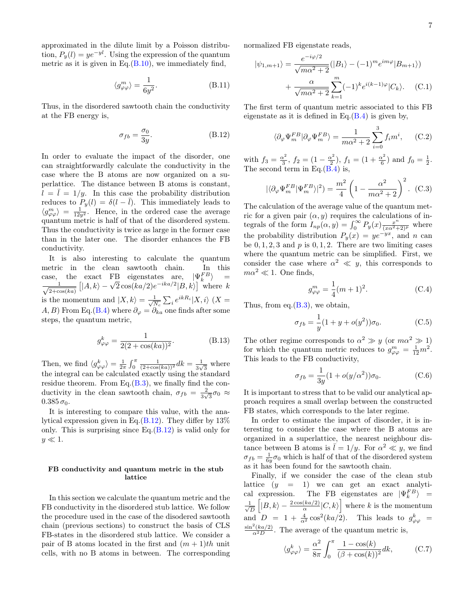approximated in the dilute limit by a Poisson distribution,  $P_y(l) = ye^{-yl}$ . Using the expression of the quantum metric as it is given in Eq. $(B.10)$ , we immediately find,

$$
\langle g^m_{\varphi\varphi}\rangle = \frac{1}{6y^2}.\tag{B.11}
$$

Thus, in the disordered sawtooth chain the conductivity at the FB energy is,

<span id="page-6-0"></span>
$$
\sigma_{fb} = \frac{\sigma_0}{3y}.\tag{B.12}
$$

In order to evaluate the impact of the disorder, one can straightforwardly calculate the conductivity in the case where the B atoms are now organized on a superlattice. The distance between B atoms is constant,  $l = l = 1/y$ . In this case the probability distribution reduces to  $P_y(l) = \delta(l - \overline{l})$ . This immediately leads to  $\langle g_{\varphi\varphi}^m \rangle = \frac{1}{12y^2}$ . Hence, in the ordered case the average quantum metric is half of that of the disordered system. Thus the conductivity is twice as large in the former case than in the later one. The disorder enhances the FB conductivity.

It is also interesting to calculate the quantum metric in the clean sawtooth chain. In this case, the exact FB eigenstates are,  $|\Psi_k^{FB}\rangle$  =  $\frac{1}{\sqrt{1-\frac{1}{2}}}$  $\frac{1}{2+\cos(ka)}$ exact FB eigenstates are,  $|\Psi_k^2\rangle$  =<br> $|A, k\rangle - \sqrt{2} \cos(ka/2)e^{-ika/2}|B, k\rangle$  where k is the momentum and  $\ket{X,k} = \frac{1}{\sqrt{N}}$  $\frac{1}{N_c}\sum_i e^{ikR_i} |X,i\rangle$   $(X =$ A, B) From Eq.[\(B.4\)](#page-2-0) where  $\partial_{\varphi} = \partial_{ka}$  one finds after some steps, the quantum metric,

$$
g_{\varphi\varphi}^{k} = \frac{1}{2(2 + \cos(ka))^{2}}.
$$
 (B.13)

Then, we find  $\langle g_{\varphi\varphi}^k \rangle = \frac{1}{2\pi} \int_0^{\pi} \frac{1}{(2+\cos(ka))^2} dk = \frac{1}{3\sqrt{2}}$  $\frac{1}{3\sqrt{3}}$  where the integral can be calculated exactly using the standard residue theorem. From Eq. $(B.3)$ , we finally find the conductivity in the clean sawtooth chain,  $\sigma_{fb} = \frac{2}{3}$  $\frac{2}{3\sqrt{3}}\sigma_0 \approx$  $0.385 \sigma_0$ .

It is interesting to compare this value, with the analytical expression given in Eq. $(B.12)$ . They differ by  $13\%$ only. This is surprising since  $Eq.(B.12)$  $Eq.(B.12)$  is valid only for  $y \ll 1$ .

### FB conductivity and quantum metric in the stub lattice

In this section we calculate the quantum metric and the FB conductivity in the disordered stub lattice. We follow the procedure used in the case of the disodered sawtooth chain (previous sections) to construct the basis of CLS FB-states in the disordered stub lattice. We consider a pair of B atoms located in the first and  $(m+1)th$  unit cells, with no B atoms in between. The corresponding normalized FB eigenstate reads,

$$
|\psi_{1,m+1}\rangle = \frac{e^{-i\varphi/2}}{\sqrt{m\alpha^2 + 2}} (|B_1\rangle - (-1)^m e^{im\varphi} |B_{m+1}\rangle)
$$

$$
+ \frac{\alpha}{\sqrt{m\alpha^2 + 2}} \sum_{k=1}^m (-1)^k e^{i(k-1)\varphi} |C_k\rangle. \quad (C.1)
$$

The first term of quantum metric associated to this FB eigenstate as it is defined in Eq. $(B.4)$  is given by,

$$
\langle \partial_{\varphi} \Psi_m^{FB} | \partial_{\varphi} \Psi_m^{FB} \rangle = \frac{1}{m\alpha^2 + 2} \sum_{i=0}^3 f_i m^i, \quad \text{(C.2)}
$$

with  $f_3 = \frac{\alpha^2}{3}$  $\frac{\alpha^2}{3}$ ,  $f_2 = (1 - \frac{\alpha^2}{2})$  $\left(\frac{x^2}{2}\right), f_1 = \left(1 + \frac{\alpha^2}{6}\right)$  $\frac{x^2}{6}$ ) and  $f_0 = \frac{1}{2}$ . The second term in Eq. $(B.4)$  is,

$$
|\langle \partial_{\varphi} \Psi_m^{FB} | \Psi_m^{FB} \rangle|^2) = \frac{m^2}{4} \left( 1 - \frac{\alpha^2}{m\alpha^2 + 2} \right)^2.
$$
 (C.3)

The calculation of the average value of the quantum metric for a given pair  $(\alpha, y)$  requires the calculations of integrals of the form  $I_{np}(\alpha, y) = \int_0^\infty P_y(x) \frac{x^n}{(x\alpha^2 + 2)^p}$  where the probability distribution  $P_y(x) = ye^{-yx}$ , and n can be  $0, 1, 2, 3$  and  $p$  is  $0, 1, 2$ . There are two limiting cases where the quantum metric can be simplified. First, we consider the case where  $\alpha^2 \ll y$ , this corresponds to  $m\alpha^2 \ll 1$ . One finds.

$$
g_{\varphi\varphi}^{m} = \frac{1}{4}(m+1)^{2}.
$$
 (C.4)

Thus, from eq. $(B.3)$ , we obtain,

$$
\sigma_{fb} = \frac{1}{y}(1 + y + o(y^2))\sigma_0.
$$
 (C.5)

The other regime corresponds to  $\alpha^2 \gg y$  (or  $m\alpha^2 \gg 1$ ) for which the quantum metric reduces to  $g_{\varphi\varphi}^m = \frac{1}{12}m^2$ . This leads to the FB conductivity,

$$
\sigma_{fb} = \frac{1}{3y} (1 + o(y/\alpha^2)) \sigma_0.
$$
 (C.6)

It is important to stress that to be valid our analytical approach requires a small overlap between the constructed FB states, which corresponds to the later regime.

In order to estimate the impact of disorder, it is interesting to consider the case where the B atoms are organized in a superlattice, the nearest neighbour distance between B atoms is  $\overline{l} = 1/y$ . For  $\alpha^2 \ll y$ , we find  $\sigma_{fb} = \frac{1}{6y}\sigma_0$  which is half of that of the disordered system as it has been found for the sawtooth chain.

Finally, if we consider the case of the clean stub lattice  $(y = 1)$  we can get an exact analytical expression. The FB eigenstates are  $|\Psi_k^{FB}\rangle$  =  $\frac{1}{6}$  $\frac{1}{\overline{D}}\left[|B,k\rangle-\frac{2\cos(ka/2)}{\alpha}|C,k\rangle\right]$  where k is the momentum and  $D = 1 + \frac{4}{\alpha^2} \cos^2(ka/2)$ . This leads to  $g_{\varphi\varphi}^k =$  $\frac{\sin^2(ka/2)}{\alpha^2 D}$ . The average of the quantum metric is,

$$
\langle g_{\varphi\varphi}^k \rangle = \frac{\alpha^2}{8\pi} \int_0^\pi \frac{1 - \cos(k)}{(\beta + \cos(k))^2} dk, \quad (C.7)
$$